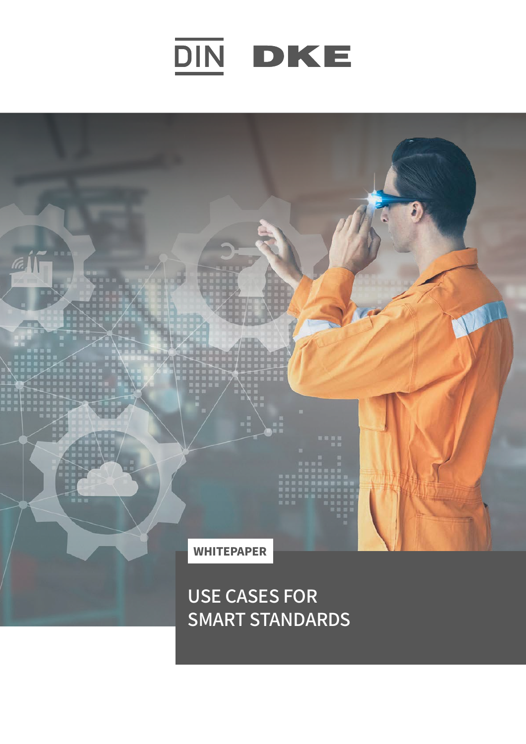

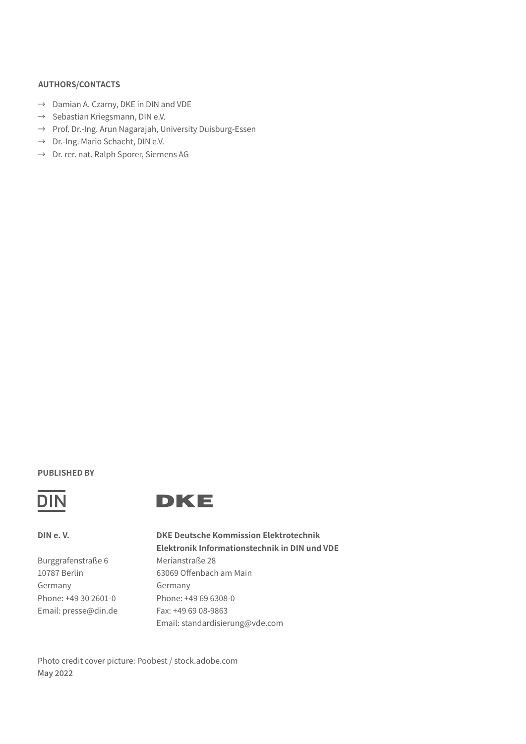### **AUTHORS/CONTACTS**

- → Damian A. Czarny, DKE in DIN and VDE
- $\rightarrow$  Sebastian Kriegsmann, DIN e.V.
- → Prof. Dr.-Ing. Arun Nagarajah, University Duisburg-Essen
- → Dr.-Ing. Mario Schacht, DIN e.V.
- $\rightarrow$  Dr. rer. nat. Ralph Sporer, Siemens AG

### **PUBLISHED BY**





**DIN e. V.**

Burggrafenstraße 6 10787 Berlin Germany Phone: +49 30 2601-0 Email: presse@din.de **DKE Deutsche Kommission Elektrotechnik Elektronik Informationstechnik in DIN und VDE** Merianstraße 28 63069 Offenbach am Main Germany Phone: +49 69 6308-0 Fax: +49 69 08-9863 Email: standardisierung@vde.com

Photo credit cover picture: Poobest / stock.adobe.com May 2022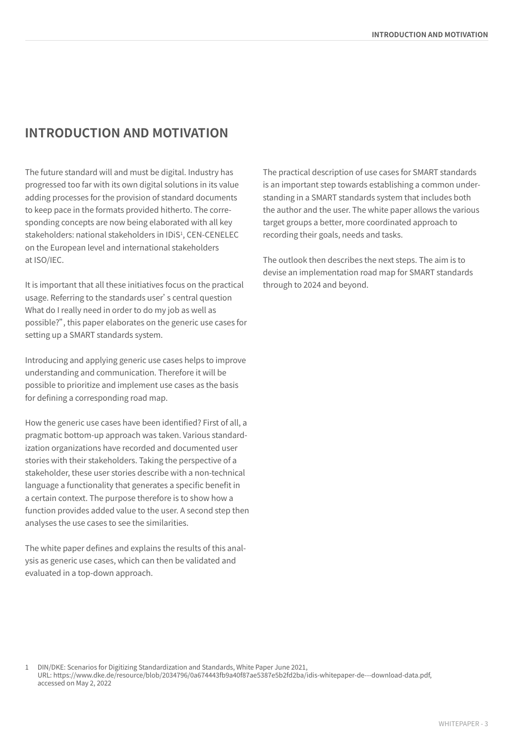# **INTRODUCTION AND MOTIVATION**

The future standard will and must be digital. Industry has progressed too far with its own digital solutions in its value adding processes for the provision of standard documents to keep pace in the formats provided hitherto. The corresponding concepts are now being elaborated with all key stakeholders: national stakeholders in IDiS<sup>1</sup>, CEN-CENELEC on the European level and international stakeholders at ISO/IEC.

It is important that all these initiatives focus on the practical usage. Referring to the standards user's central question What do I really need in order to do my job as well as possible?", this paper elaborates on the generic use cases for setting up a SMART standards system.

Introducing and applying generic use cases helps to improve understanding and communication. Therefore it will be possible to prioritize and implement use cases as the basis for defining a corresponding road map.

How the generic use cases have been identified? First of all, a pragmatic bottom-up approach was taken. Various standardization organizations have recorded and documented user stories with their stakeholders. Taking the perspective of a stakeholder, these user stories describe with a non-technical language a functionality that generates a specific benefit in a certain context. The purpose therefore is to show how a function provides added value to the user. A second step then analyses the use cases to see the similarities.

The white paper defines and explains the results of this analysis as generic use cases, which can then be validated and evaluated in a top-down approach.

The practical description of use cases for SMART standards is an important step towards establishing a common understanding in a SMART standards system that includes both the author and the user. The white paper allows the various target groups a better, more coordinated approach to recording their goals, needs and tasks.

The outlook then describes the next steps. The aim is to devise an implementation road map for SMART standards through to 2024 and beyond.

1 DIN/DKE: Scenarios for Digitizing Standardization and Standards, White Paper June 2021,

URL: https://www.dke.de/resource/blob/2034796/0a674443fb9a40f87ae5387e5b2fd2ba/idis-whitepaper-de---download-data.pdf, accessed on May 2, 2022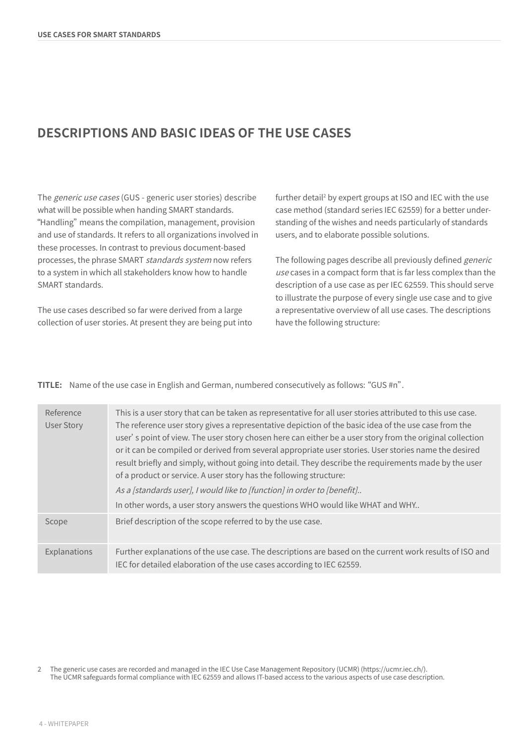# **DESCRIPTIONS AND BASIC IDEAS OF THE USE CASES**

The generic use cases (GUS - generic user stories) describe what will be possible when handing SMART standards. Handling" means the compilation, management, provision and use of standards. It refers to all organizations involved in these processes. In contrast to previous document-based processes, the phrase SMART standards system now refers to a system in which all stakeholders know how to handle SMART standards.

The use cases described so far were derived from a large collection of user stories. At present they are being put into

further detail2 by expert groups at ISO and IEC with the use case method (standard series IEC 62559) for a better understanding of the wishes and needs particularly of standards users, and to elaborate possible solutions.

The following pages describe all previously defined *generic* use cases in a compact form that is far less complex than the description of a use case as per IEC 62559. This should serve to illustrate the purpose of every single use case and to give a representative overview of all use cases. The descriptions have the following structure:

|  |  |  |  | TITLE: Name of the use case in English and German, numbered consecutively as follows: "GUS #n". |  |
|--|--|--|--|-------------------------------------------------------------------------------------------------|--|
|--|--|--|--|-------------------------------------------------------------------------------------------------|--|

| Reference<br><b>User Story</b> | This is a user story that can be taken as representative for all user stories attributed to this use case.<br>The reference user story gives a representative depiction of the basic idea of the use case from the<br>user' s point of view. The user story chosen here can either be a user story from the original collection<br>or it can be compiled or derived from several appropriate user stories. User stories name the desired<br>result briefly and simply, without going into detail. They describe the requirements made by the user<br>of a product or service. A user story has the following structure:<br>As a [standards user], I would like to [function] in order to [benefit]<br>In other words, a user story answers the questions WHO would like WHAT and WHY |
|--------------------------------|--------------------------------------------------------------------------------------------------------------------------------------------------------------------------------------------------------------------------------------------------------------------------------------------------------------------------------------------------------------------------------------------------------------------------------------------------------------------------------------------------------------------------------------------------------------------------------------------------------------------------------------------------------------------------------------------------------------------------------------------------------------------------------------|
| Scope                          | Brief description of the scope referred to by the use case.                                                                                                                                                                                                                                                                                                                                                                                                                                                                                                                                                                                                                                                                                                                          |
| Explanations                   | Further explanations of the use case. The descriptions are based on the current work results of ISO and<br>IEC for detailed elaboration of the use cases according to IEC 62559.                                                                                                                                                                                                                                                                                                                                                                                                                                                                                                                                                                                                     |

<sup>2</sup> The generic use cases are recorded and managed in the IEC Use Case Management Repository (UCMR) (https://ucmr.iec.ch/). The UCMR safeguards formal compliance with IEC 62559 and allows IT-based access to the various aspects of use case description.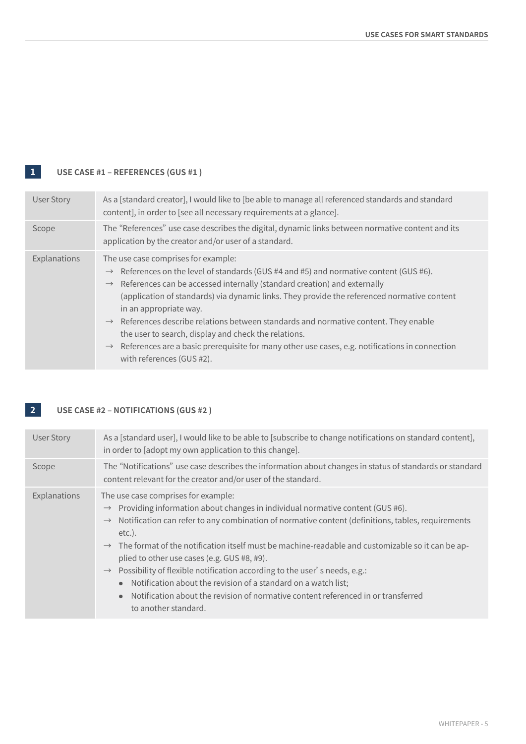# **1 USE CASE #1 – REFERENCES (GUS #1 )**

| <b>User Story</b> | As a [standard creator], I would like to [be able to manage all referenced standards and standard<br>content], in order to [see all necessary requirements at a glance].                                                                                                                                                                                                                                                                                                                                                                                                                                                                                              |
|-------------------|-----------------------------------------------------------------------------------------------------------------------------------------------------------------------------------------------------------------------------------------------------------------------------------------------------------------------------------------------------------------------------------------------------------------------------------------------------------------------------------------------------------------------------------------------------------------------------------------------------------------------------------------------------------------------|
| Scope             | The "References" use case describes the digital, dynamic links between normative content and its<br>application by the creator and/or user of a standard.                                                                                                                                                                                                                                                                                                                                                                                                                                                                                                             |
| Explanations      | The use case comprises for example:<br>$\rightarrow$ References on the level of standards (GUS #4 and #5) and normative content (GUS #6).<br>$\rightarrow$ References can be accessed internally (standard creation) and externally<br>(application of standards) via dynamic links. They provide the referenced normative content<br>in an appropriate way.<br>$\rightarrow$ References describe relations between standards and normative content. They enable<br>the user to search, display and check the relations.<br>$\rightarrow$ References are a basic prerequisite for many other use cases, e.g. notifications in connection<br>with references (GUS #2). |

## **2 USE CASE #2 – NOTIFICATIONS (GUS #2 )**

| <b>User Story</b> | As a [standard user], I would like to be able to [subscribe to change notifications on standard content],<br>in order to [adopt my own application to this change].                                                                                                                                                                                                                                                                                                                                                                                                                                                                                                                                                  |
|-------------------|----------------------------------------------------------------------------------------------------------------------------------------------------------------------------------------------------------------------------------------------------------------------------------------------------------------------------------------------------------------------------------------------------------------------------------------------------------------------------------------------------------------------------------------------------------------------------------------------------------------------------------------------------------------------------------------------------------------------|
| Scope             | The "Notifications" use case describes the information about changes in status of standards or standard<br>content relevant for the creator and/or user of the standard.                                                                                                                                                                                                                                                                                                                                                                                                                                                                                                                                             |
| Explanations      | The use case comprises for example:<br>$\rightarrow$ Providing information about changes in individual normative content (GUS #6).<br>Notification can refer to any combination of normative content (definitions, tables, requirements<br>$\rightarrow$<br>$etc.$ ).<br>$\rightarrow$ The format of the notification itself must be machine-readable and customizable so it can be ap-<br>plied to other use cases (e.g. GUS #8, #9).<br>$\rightarrow$ Possibility of flexible notification according to the user's needs, e.g.:<br>• Notification about the revision of a standard on a watch list;<br>• Notification about the revision of normative content referenced in or transferred<br>to another standard. |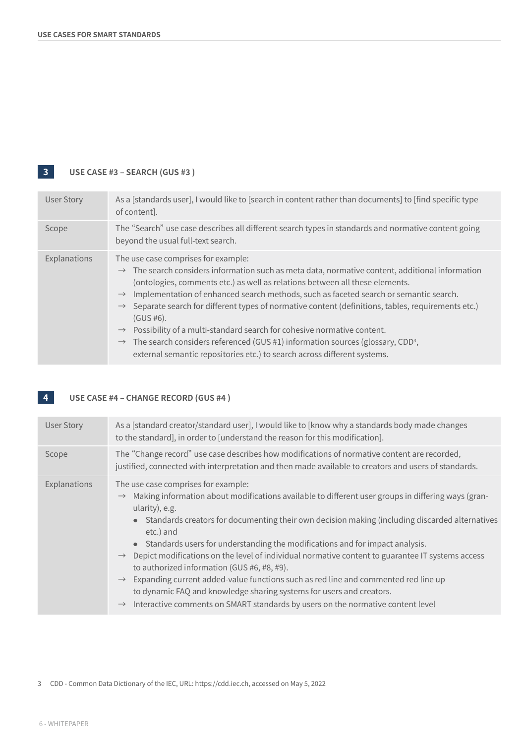## **3 USE CASE #3 – SEARCH (GUS #3 )**

| User Story   | As a [standards user], I would like to [search in content rather than documents] to [find specific type<br>of content].                                                                                                                                                                                                                                                                                                                                                                                                                                                                                                                                                                                                                                                     |
|--------------|-----------------------------------------------------------------------------------------------------------------------------------------------------------------------------------------------------------------------------------------------------------------------------------------------------------------------------------------------------------------------------------------------------------------------------------------------------------------------------------------------------------------------------------------------------------------------------------------------------------------------------------------------------------------------------------------------------------------------------------------------------------------------------|
| Scope        | The "Search" use case describes all different search types in standards and normative content going<br>beyond the usual full-text search.                                                                                                                                                                                                                                                                                                                                                                                                                                                                                                                                                                                                                                   |
| Explanations | The use case comprises for example:<br>$\rightarrow$ The search considers information such as meta data, normative content, additional information<br>(ontologies, comments etc.) as well as relations between all these elements.<br>Implementation of enhanced search methods, such as faceted search or semantic search.<br>$\rightarrow$<br>Separate search for different types of normative content (definitions, tables, requirements etc.)<br>$\rightarrow$<br>$(GUS #6)$ .<br>Possibility of a multi-standard search for cohesive normative content.<br>$\rightarrow$<br>The search considers referenced (GUS $#1$ ) information sources (glossary, CDD <sup>3</sup> ,<br>$\rightarrow$<br>external semantic repositories etc.) to search across different systems. |

# **4 USE CASE #4 – CHANGE RECORD (GUS #4 )**

| <b>User Story</b> | As a [standard creator/standard user], I would like to [know why a standards body made changes<br>to the standard], in order to [understand the reason for this modification].                                                                                                                                                                                                                                                                                                                                                                                                                                                                                                                                                                                                                               |
|-------------------|--------------------------------------------------------------------------------------------------------------------------------------------------------------------------------------------------------------------------------------------------------------------------------------------------------------------------------------------------------------------------------------------------------------------------------------------------------------------------------------------------------------------------------------------------------------------------------------------------------------------------------------------------------------------------------------------------------------------------------------------------------------------------------------------------------------|
| Scope             | The "Change record" use case describes how modifications of normative content are recorded,<br>justified, connected with interpretation and then made available to creators and users of standards.                                                                                                                                                                                                                                                                                                                                                                                                                                                                                                                                                                                                          |
| Explanations      | The use case comprises for example:<br>Making information about modifications available to different user groups in differing ways (gran-<br>ularity), e.g.<br>• Standards creators for documenting their own decision making (including discarded alternatives<br>etc.) and<br>• Standards users for understanding the modifications and for impact analysis.<br>$\rightarrow$ Depict modifications on the level of individual normative content to guarantee IT systems access<br>to authorized information (GUS #6, #8, #9).<br>$\rightarrow$ Expanding current added-value functions such as red line and commented red line up<br>to dynamic FAQ and knowledge sharing systems for users and creators.<br>$\rightarrow$ Interactive comments on SMART standards by users on the normative content level |

3 CDD - Common Data Dictionary of the IEC, URL: https://cdd.iec.ch, accessed on May 5, 2022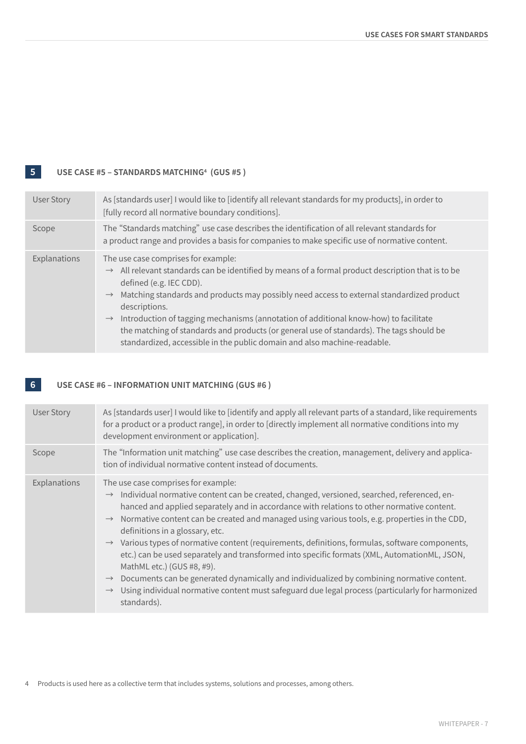## **5 USE CASE #5 – STANDARDS MATCHING4 (GUS #5 )**

| <b>User Story</b> | As [standards user] I would like to [identify all relevant standards for my products], in order to<br>[fully record all normative boundary conditions].                                                                                                                                                                                                                                                                                                                                                                                                                                         |
|-------------------|-------------------------------------------------------------------------------------------------------------------------------------------------------------------------------------------------------------------------------------------------------------------------------------------------------------------------------------------------------------------------------------------------------------------------------------------------------------------------------------------------------------------------------------------------------------------------------------------------|
| Scope             | The "Standards matching" use case describes the identification of all relevant standards for<br>a product range and provides a basis for companies to make specific use of normative content.                                                                                                                                                                                                                                                                                                                                                                                                   |
| Explanations      | The use case comprises for example:<br>$\rightarrow$ All relevant standards can be identified by means of a formal product description that is to be<br>defined (e.g. IEC CDD).<br>Matching standards and products may possibly need access to external standardized product<br>$\rightarrow$<br>descriptions.<br>Introduction of tagging mechanisms (annotation of additional know-how) to facilitate<br>$\rightarrow$<br>the matching of standards and products (or general use of standards). The tags should be<br>standardized, accessible in the public domain and also machine-readable. |

### **6 USE CASE #6 – INFORMATION UNIT MATCHING (GUS #6 )**

| <b>User Story</b> | As [standards user] I would like to [identify and apply all relevant parts of a standard, like requirements<br>for a product or a product range], in order to [directly implement all normative conditions into my<br>development environment or application].                                                                                                                                                                                                                                                                                                                                                                                                                                                                                                                                                                                                                                    |
|-------------------|---------------------------------------------------------------------------------------------------------------------------------------------------------------------------------------------------------------------------------------------------------------------------------------------------------------------------------------------------------------------------------------------------------------------------------------------------------------------------------------------------------------------------------------------------------------------------------------------------------------------------------------------------------------------------------------------------------------------------------------------------------------------------------------------------------------------------------------------------------------------------------------------------|
| Scope             | The "Information unit matching" use case describes the creation, management, delivery and applica-<br>tion of individual normative content instead of documents.                                                                                                                                                                                                                                                                                                                                                                                                                                                                                                                                                                                                                                                                                                                                  |
| Explanations      | The use case comprises for example:<br>$\rightarrow$ Individual normative content can be created, changed, versioned, searched, referenced, en-<br>hanced and applied separately and in accordance with relations to other normative content.<br>$\rightarrow$ Normative content can be created and managed using various tools, e.g. properties in the CDD,<br>definitions in a glossary, etc.<br>Various types of normative content (requirements, definitions, formulas, software components,<br>$\rightarrow$<br>etc.) can be used separately and transformed into specific formats (XML, AutomationML, JSON,<br>MathML etc.) (GUS #8, #9).<br>Documents can be generated dynamically and individualized by combining normative content.<br>$\rightarrow$<br>Using individual normative content must safeguard due legal process (particularly for harmonized<br>$\rightarrow$<br>standards). |

<sup>4</sup> Products is used here as a collective term that includes systems, solutions and processes, among others.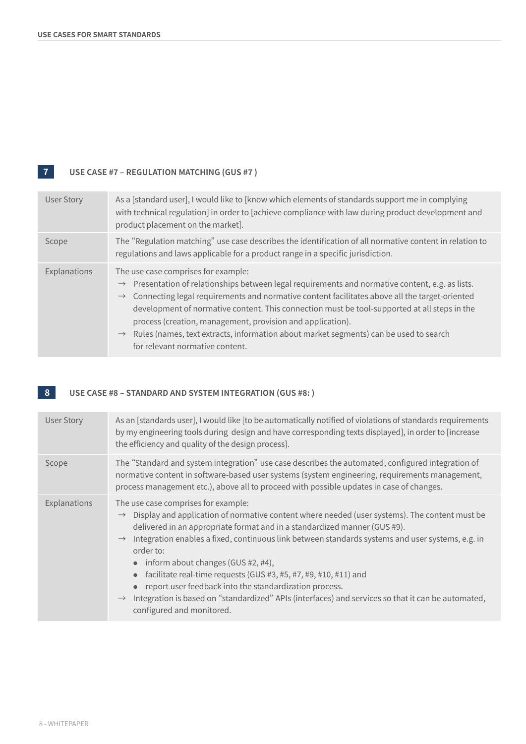# **7 USE CASE #7 – REGULATION MATCHING (GUS #7 )**

| <b>User Story</b> | As a [standard user], I would like to [know which elements of standards support me in complying<br>with technical regulation] in order to [achieve compliance with law during product development and<br>product placement on the market].                                                                                                                                                                                                                                                                                                                                    |
|-------------------|-------------------------------------------------------------------------------------------------------------------------------------------------------------------------------------------------------------------------------------------------------------------------------------------------------------------------------------------------------------------------------------------------------------------------------------------------------------------------------------------------------------------------------------------------------------------------------|
| Scope             | The "Regulation matching" use case describes the identification of all normative content in relation to<br>regulations and laws applicable for a product range in a specific jurisdiction.                                                                                                                                                                                                                                                                                                                                                                                    |
| Explanations      | The use case comprises for example:<br>$\rightarrow$ Presentation of relationships between legal requirements and normative content, e.g. as lists.<br>$\rightarrow$ Connecting legal requirements and normative content facilitates above all the target-oriented<br>development of normative content. This connection must be tool-supported at all steps in the<br>process (creation, management, provision and application).<br>Rules (names, text extracts, information about market segments) can be used to search<br>$\rightarrow$<br>for relevant normative content. |

## **8** USE CASE #8 – STANDARD AND SYSTEM INTEGRATION (GUS #8: )

| <b>User Story</b> | As an [standards user], I would like [to be automatically notified of violations of standards requirements<br>by my engineering tools during design and have corresponding texts displayed], in order to [increase<br>the efficiency and quality of the design process].                                                                                                                                                                                                                                                                                                                                                                                                                      |
|-------------------|-----------------------------------------------------------------------------------------------------------------------------------------------------------------------------------------------------------------------------------------------------------------------------------------------------------------------------------------------------------------------------------------------------------------------------------------------------------------------------------------------------------------------------------------------------------------------------------------------------------------------------------------------------------------------------------------------|
| Scope             | The "Standard and system integration" use case describes the automated, configured integration of<br>normative content in software-based user systems (system engineering, requirements management,<br>process management etc.), above all to proceed with possible updates in case of changes.                                                                                                                                                                                                                                                                                                                                                                                               |
| Explanations      | The use case comprises for example:<br>$\rightarrow$ Display and application of normative content where needed (user systems). The content must be<br>delivered in an appropriate format and in a standardized manner (GUS #9).<br>$\rightarrow$ Integration enables a fixed, continuous link between standards systems and user systems, e.g. in<br>order to:<br>$\bullet$ inform about changes (GUS #2, #4),<br>facilitate real-time requests (GUS #3, #5, #7, #9, #10, #11) and<br>report user feedback into the standardization process.<br>$\rightarrow$ Integration is based on "standardized" APIs (interfaces) and services so that it can be automated,<br>configured and monitored. |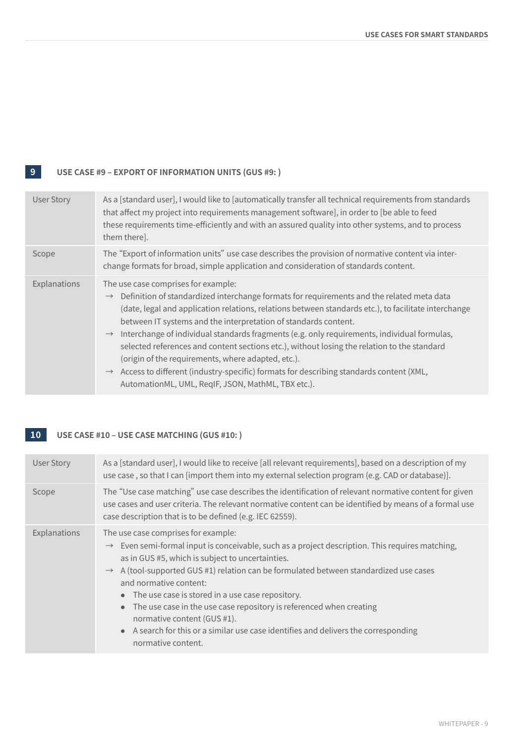## **9 USE CASE #9 – EXPORT OF INFORMATION UNITS (GUS #9: )**

| <b>User Story</b> | As a [standard user], I would like to [automatically transfer all technical requirements from standards<br>that affect my project into requirements management software], in order to [be able to feed<br>these requirements time-efficiently and with an assured quality into other systems, and to process<br>them there].                                                                                                                                                                                                                                                                                                                                                                                                                                 |
|-------------------|--------------------------------------------------------------------------------------------------------------------------------------------------------------------------------------------------------------------------------------------------------------------------------------------------------------------------------------------------------------------------------------------------------------------------------------------------------------------------------------------------------------------------------------------------------------------------------------------------------------------------------------------------------------------------------------------------------------------------------------------------------------|
| Scope             | The "Export of information units" use case describes the provision of normative content via inter-<br>change formats for broad, simple application and consideration of standards content.                                                                                                                                                                                                                                                                                                                                                                                                                                                                                                                                                                   |
| Explanations      | The use case comprises for example:<br>$\rightarrow$ Definition of standardized interchange formats for requirements and the related meta data<br>(date, legal and application relations, relations between standards etc.), to facilitate interchange<br>between IT systems and the interpretation of standards content.<br>$\rightarrow$ Interchange of individual standards fragments (e.g. only requirements, individual formulas,<br>selected references and content sections etc.), without losing the relation to the standard<br>(origin of the requirements, where adapted, etc.).<br>Access to different (industry-specific) formats for describing standards content (XML,<br>$\rightarrow$<br>AutomationML, UML, RegIF, JSON, MathML, TBX etc.). |

## **10 USE CASE #10 – USE CASE MATCHING (GUS #10: )**

| <b>User Story</b> | As a [standard user], I would like to receive [all relevant requirements], based on a description of my<br>use case, so that I can [import them into my external selection program (e.g. CAD or database)].                                                                                                                                                                                                                                                                                                                                                                                                    |
|-------------------|----------------------------------------------------------------------------------------------------------------------------------------------------------------------------------------------------------------------------------------------------------------------------------------------------------------------------------------------------------------------------------------------------------------------------------------------------------------------------------------------------------------------------------------------------------------------------------------------------------------|
| Scope             | The "Use case matching" use case describes the identification of relevant normative content for given<br>use cases and user criteria. The relevant normative content can be identified by means of a formal use<br>case description that is to be defined (e.g. IEC 62559).                                                                                                                                                                                                                                                                                                                                    |
| Explanations      | The use case comprises for example:<br>$\rightarrow$ Even semi-formal input is conceivable, such as a project description. This requires matching,<br>as in GUS #5, which is subject to uncertainties.<br>$\rightarrow$ A (tool-supported GUS #1) relation can be formulated between standardized use cases<br>and normative content:<br>• The use case is stored in a use case repository.<br>The use case in the use case repository is referenced when creating<br>normative content (GUS #1).<br>• A search for this or a similar use case identifies and delivers the corresponding<br>normative content. |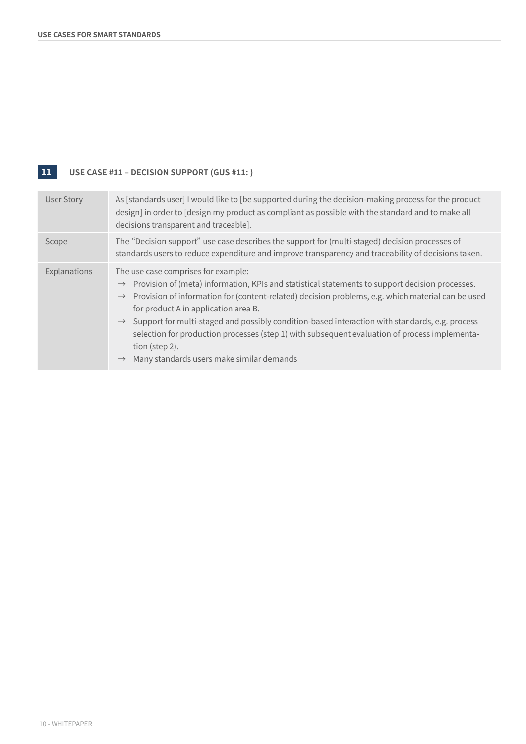# **11 USE CASE #11 – DECISION SUPPORT (GUS #11: )**

| <b>User Story</b> | As [standards user] I would like to [be supported during the decision-making process for the product<br>design] in order to [design my product as compliant as possible with the standard and to make all<br>decisions transparent and traceable].                                                                                                                                                                                                                                                                                                                                                            |
|-------------------|---------------------------------------------------------------------------------------------------------------------------------------------------------------------------------------------------------------------------------------------------------------------------------------------------------------------------------------------------------------------------------------------------------------------------------------------------------------------------------------------------------------------------------------------------------------------------------------------------------------|
| Scope             | The "Decision support" use case describes the support for (multi-staged) decision processes of<br>standards users to reduce expenditure and improve transparency and traceability of decisions taken.                                                                                                                                                                                                                                                                                                                                                                                                         |
| Explanations      | The use case comprises for example:<br>$\rightarrow$ Provision of (meta) information, KPIs and statistical statements to support decision processes.<br>$\rightarrow$ Provision of information for (content-related) decision problems, e.g. which material can be used<br>for product A in application area B.<br>$\rightarrow$ Support for multi-staged and possibly condition-based interaction with standards, e.g. process<br>selection for production processes (step 1) with subsequent evaluation of process implementa-<br>tion (step 2).<br>$\rightarrow$ Many standards users make similar demands |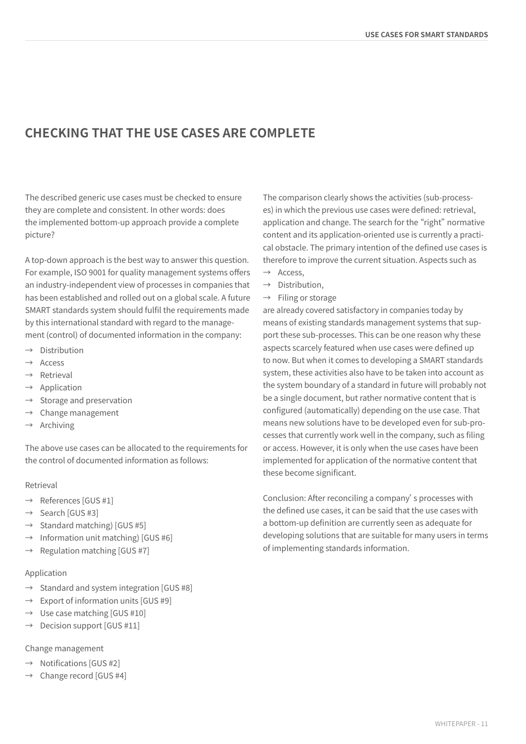# **CHECKING THAT THE USE CASES ARE COMPLETE**

The described generic use cases must be checked to ensure they are complete and consistent. In other words: does the implemented bottom-up approach provide a complete picture?

A top-down approach is the best way to answer this question. For example, ISO 9001 for quality management systems offers an industry-independent view of processes in companies that has been established and rolled out on a global scale. A future SMART standards system should fulfil the requirements made by this international standard with regard to the management (control) of documented information in the company:

- $\rightarrow$  Distribution
- → Access
- → Retrieval
- $\rightarrow$  Application
- $\rightarrow$  Storage and preservation
- $\rightarrow$  Change management
- $\rightarrow$  Archiving

The above use cases can be allocated to the requirements for the control of documented information as follows:

### Retrieval

- $\rightarrow$  References [GUS #1]
- $\rightarrow$  Search [GUS #3]
- $\rightarrow$  Standard matching) [GUS #5]
- $\rightarrow$  Information unit matching) [GUS #6]
- $\rightarrow$  Regulation matching [GUS #7]

### Application

- $\rightarrow$  Standard and system integration [GUS #8]
- $\rightarrow$  Export of information units [GUS #9]
- $\rightarrow$  Use case matching [GUS #10]
- $\rightarrow$  Decision support [GUS #11]

### Change management

- $\rightarrow$  Notifications [GUS #2]
- $\rightarrow$  Change record [GUS #4]

The comparison clearly shows the activities (sub-processes) in which the previous use cases were defined: retrieval, application and change. The search for the "right" normative content and its application-oriented use is currently a practical obstacle. The primary intention of the defined use cases is therefore to improve the current situation. Aspects such as

- $\rightarrow$  Access.
- $\rightarrow$  Distribution,
- $\rightarrow$  Filing or storage

are already covered satisfactory in companies today by means of existing standards management systems that support these sub-processes. This can be one reason why these aspects scarcely featured when use cases were defined up to now. But when it comes to developing a SMART standards system, these activities also have to be taken into account as the system boundary of a standard in future will probably not be a single document, but rather normative content that is configured (automatically) depending on the use case. That means new solutions have to be developed even for sub-processes that currently work well in the company, such as filing or access. However, it is only when the use cases have been implemented for application of the normative content that these become significant.

Conclusion: After reconciling a company's processes with the defined use cases, it can be said that the use cases with a bottom-up definition are currently seen as adequate for developing solutions that are suitable for many users in terms of implementing standards information.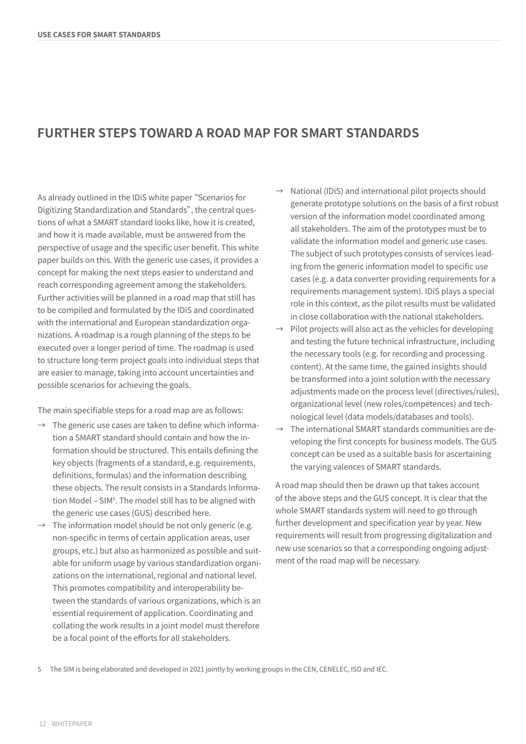# **FURTHER STEPS TOWARD A ROAD MAP FOR SMART STANDARDS**

As already outlined in the IDiS white paper "Scenarios for Digitizing Standardization and Standards", the central questions of what a SMART standard looks like, how it is created, and how it is made available, must be answered from the perspective of usage and the specific user benefit. This white paper builds on this. With the generic use cases, it provides a concept for making the next steps easier to understand and reach corresponding agreement among the stakeholders. Further activities will be planned in a road map that still has to be compiled and formulated by the IDiS and coordinated with the international and European standardization organizations. A roadmap is a rough planning of the steps to be executed over a longer period of time. The roadmap is used to structure long-term project goals into individual steps that are easier to manage, taking into account uncertainties and possible scenarios for achieving the goals.

The main specifiable steps for a road map are as follows:

- $\rightarrow$  The generic use cases are taken to define which information a SMART standard should contain and how the information should be structured. This entails defining the key objects (fragments of a standard, e.g. requirements, definitions, formulas) and the information describing these objects. The result consists in a Standards Information Model – SIM<sup>5</sup>. The model still has to be aligned with the generic use cases (GUS) described here.
- $\rightarrow$  The information model should be not only generic (e.g. non-specific in terms of certain application areas, user groups, etc.) but also as harmonized as possible and suitable for uniform usage by various standardization organizations on the international, regional and national level. This promotes compatibility and interoperability between the standards of various organizations, which is an essential requirement of application. Coordinating and collating the work results in a joint model must therefore be a focal point of the efforts for all stakeholders.
- $\rightarrow$  National (IDiS) and international pilot projects should generate prototype solutions on the basis of a first robust version of the information model coordinated among all stakeholders. The aim of the prototypes must be to validate the information model and generic use cases. The subject of such prototypes consists of services leading from the generic information model to specific use cases (e.g. a data converter providing requirements for a requirements management system). IDiS plays a special role in this context, as the pilot results must be validated in close collaboration with the national stakeholders.
- Pilot projects will also act as the vehicles for developing and testing the future technical infrastructure, including the necessary tools (e.g. for recording and processing content). At the same time, the gained insights should be transformed into a joint solution with the necessary adjustments made on the process level (directives/rules), organizational level (new roles/competences) and technological level (data models/databases and tools).
- $\rightarrow$  The international SMART standards communities are developing the first concepts for business models. The GUS concept can be used as a suitable basis for ascertaining the varying valences of SMART standards.

A road map should then be drawn up that takes account of the above steps and the GUS concept. It is clear that the whole SMART standards system will need to go through further development and specification year by year. New requirements will result from progressing digitalization and new use scenarios so that a corresponding ongoing adjustment of the road map will be necessary.

5 The SIM is being elaborated and developed in 2021 jointly by working groups in the CEN, CENELEC, ISO and IEC.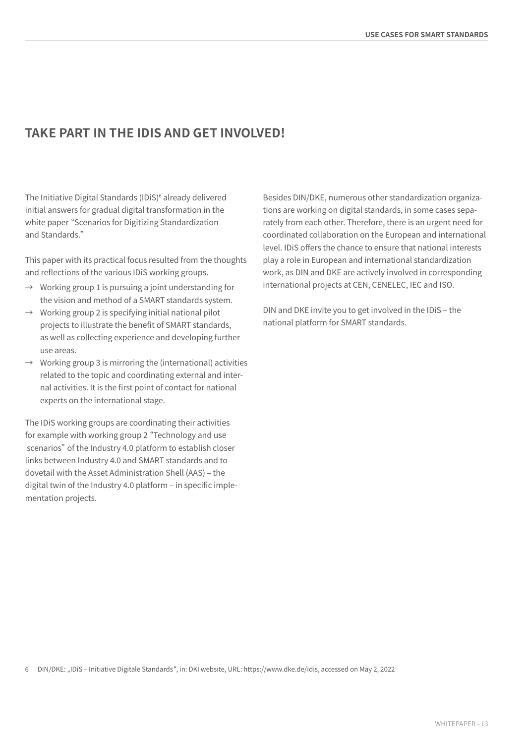# **TAKE PART IN THE IDIS AND GET INVOLVED!**

The Initiative Digital Standards (IDiS)<sup>6</sup> already delivered initial answers for gradual digital transformation in the white paper "Scenarios for Digitizing Standardization and Standards."

This paper with its practical focus resulted from the thoughts and reflections of the various IDiS working groups.

- $\rightarrow$  Working group 1 is pursuing a joint understanding for the vision and method of a SMART standards system.
- $\rightarrow$  Working group 2 is specifying initial national pilot projects to illustrate the benefit of SMART standards, as well as collecting experience and developing further use areas.
- $\rightarrow$  Working group 3 is mirroring the (international) activities related to the topic and coordinating external and internal activities. It is the first point of contact for national experts on the international stage.

The IDiS working groups are coordinating their activities for example with working group 2 "Technology and use scenarios" of the Industry 4.0 platform to establish closer links between Industry 4.0 and SMART standards and to dovetail with the Asset Administration Shell (AAS) – the digital twin of the Industry 4.0 platform – in specific implementation projects.

Besides DIN/DKE, numerous other standardization organizations are working on digital standards, in some cases separately from each other. Therefore, there is an urgent need for coordinated collaboration on the European and international level. IDiS offers the chance to ensure that national interests play a role in European and international standardization work, as DIN and DKE are actively involved in corresponding international projects at CEN, CENELEC, IEC and ISO.

DIN and DKE invite you to get involved in the IDiS – the national platform for SMART standards.